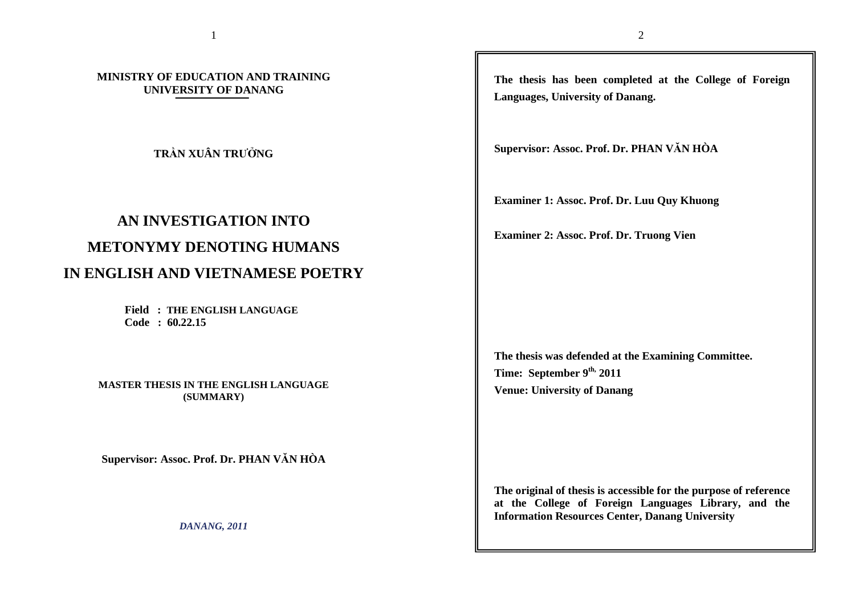**MINISTRY OF EDUCATION AND TRAINING UNIVERSITY OF DANANG** 

**TRẦN XUÂN TRƯỞNG** 

# **AN INVESTIGATION INTO METONYMY DENOTING HUMANS IN ENGLISH AND VIETNAMESE POETRY**

 **Field : THE ENGLISH LANGUAGE**

 **Code : 60.22.15** 

**MASTER THESIS IN THE ENGLISH LANGUAGE (SUMMARY)** 

**Supervisor: Assoc. Prof. Dr. PHAN VĂN HÒA** 

*DANANG, 2011* 

**The thesis has been completed at the College of Foreign Languages, University of Danang.** 

**Supervisor: Assoc. Prof. Dr. PHAN VĂN HÒA** 

**Examiner 1: Assoc. Prof. Dr. Luu Quy Khuong** 

**Examiner 2: Assoc. Prof. Dr. Truong Vien** 

**The thesis was defended at the Examining Committee.Time: September 9th, 2011 Venue: University of Danang** 

**The original of thesis is accessible for the purpose of reference at the College of Foreign Languages Library, and the Information Resources Center, Danang University**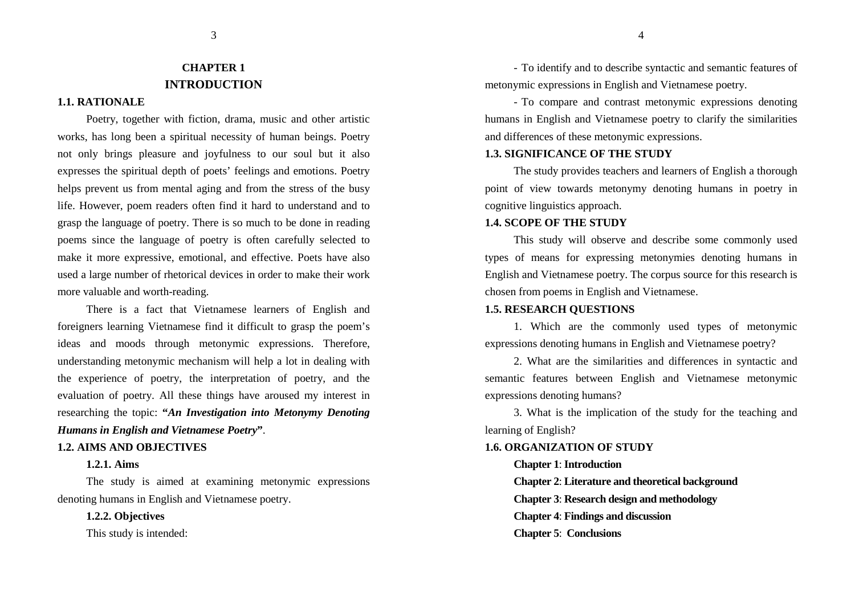# **CHAPTER 1 INTRODUCTION**

#### **1.1. RATIONALE**

Poetry, together with fiction, drama, music and other artistic works, has long been a spiritual necessity of human beings. Poetry not only brings pleasure and joyfulness to our soul but it also expresses the spiritual depth of poets' feelings and emotions. Poetry helps prevent us from mental aging and from the stress of the busy life. However, poem readers often find it hard to understand and to grasp the language of poetry. There is so much to be done in reading poems since the language of poetry is often carefully selected to make it more expressive, emotional, and effective. Poets have also used a large number of rhetorical devices in order to make their work more valuable and worth-reading.

There is a fact that Vietnamese learners of English and foreigners learning Vietnamese find it difficult to grasp the poem's ideas and moods through metonymic expressions. Therefore, understanding metonymic mechanism will help a lot in dealing with the experience of poetry, the interpretation of poetry, and the evaluation of poetry. All these things have aroused my interest in researching the topic: **"***An Investigation into Metonymy Denoting Humans in English and Vietnamese Poetry***"**.

#### **1.2. AIMS AND OBJECTIVES**

#### **1.2.1. Aims**

The study is aimed at examining metonymic expressions denoting humans in English and Vietnamese poetry.

**1.2.2. Objectives**This study is intended:

- To identify and to describe syntactic and semantic features of metonymic expressions in English and Vietnamese poetry.

 To compare and contrast metonymic expressions denoting humans in English and Vietnamese poetry to clarify the similarities and differences of these metonymic expressions.

#### **1.3. SIGNIFICANCE OF THE STUDY**

The study provides teachers and learners of English a thorough point of view towards metonymy denoting humans in poetry in cognitive linguistics approach.

#### **1.4. SCOPE OF THE STUDY**

This study will observe and describe some commonly used types of means for expressing metonymies denoting humans in English and Vietnamese poetry. The corpus source for this research is chosen from poems in English and Vietnamese.

#### **1.5. RESEARCH QUESTIONS**

1. Which are the commonly used types of metonymic expressions denoting humans in English and Vietnamese poetry?

2. What are the similarities and differences in syntactic and semantic features between English and Vietnamese metonymic expressions denoting humans?

3. What is the implication of the study for the teaching and learning of English?

#### **1.6. ORGANIZATION OF STUDY**

**Chapter 1**: **Introduction**

**Chapter 2**: **Literature and theoretical background**

**Chapter 3**: **Research design and methodology**

**Chapter 4**: **Findings and discussion**

#### **Chapter 5**: **Conclusions**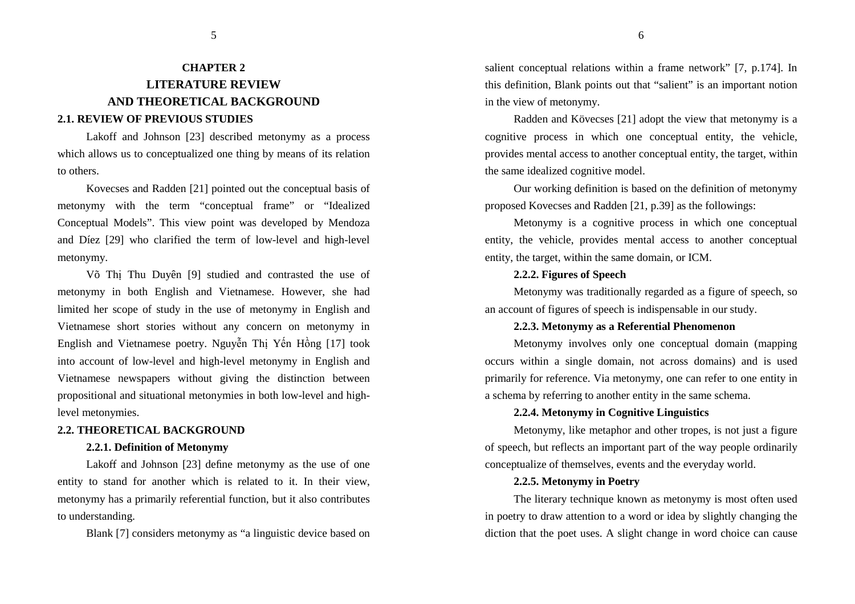#### **2.1. REVIEW OF PREVIOUS STUDIES**

Lakoff and Johnson [23] described metonymy as a process which allows us to conceptualized one thing by means of its relation to others.

Kovecses and Radden [21] pointed out the conceptual basis of metonymy with the term "conceptual frame" or "Idealized Conceptual Models". This view point was developed by Mendoza and Díez [29] who clarified the term of low-level and high-level metonymy.

Võ Thị Thu Duyên [9] studied and contrasted the use of metonymy in both English and Vietnamese. However, she had limited her scope of study in the use of metonymy in English and Vietnamese short stories without any concern on metonymy in English and Vietnamese poetry. Nguyễn Thị Yến Hồng [17] took into account of low-level and high-level metonymy in English and Vietnamese newspapers without giving the distinction between propositional and situational metonymies in both low-level and highlevel metonymies.

#### **2.2. THEORETICAL BACKGROUND**

#### **2.2.1. Definition of Metonymy**

Lakoff and Johnson [23] define metonymy as the use of one entity to stand for another which is related to it. In their view, metonymy has a primarily referential function, but it also contributes to understanding.

Blank [7] considers metonymy as "a linguistic device based on

salient conceptual relations within a frame network" [7, p.174]. In this definition, Blank points out that "salient" is an important notion in the view of metonymy.

Radden and Kövecses [21] adopt the view that metonymy is a cognitive process in which one conceptual entity, the vehicle, provides mental access to another conceptual entity, the target, within the same idealized cognitive model.

Our working definition is based on the definition of metonymy proposed Kovecses and Radden [21, p.39] as the followings:

Metonymy is a cognitive process in which one conceptual entity, the vehicle, provides mental access to another conceptual entity, the target, within the same domain, or ICM.

#### **2.2.2. Figures of Speech**

Metonymy was traditionally regarded as a figure of speech, so an account of figures of speech is indispensable in our study.

# **2.2.3. Metonymy as a Referential Phenomenon**

Metonymy involves only one conceptual domain (mapping occurs within a single domain, not across domains) and is used primarily for reference. Via metonymy, one can refer to one entity in a schema by referring to another entity in the same schema.

# **2.2.4. Metonymy in Cognitive Linguistics**

Metonymy, like metaphor and other tropes, is not just a figure of speech, but reflects an important part of the way people ordinarily conceptualize of themselves, events and the everyday world.

#### **2.2.5. Metonymy in Poetry**

The literary technique known as metonymy is most often used in poetry to draw attention to a word or idea by slightly changing the diction that the poet uses. A slight change in word choice can cause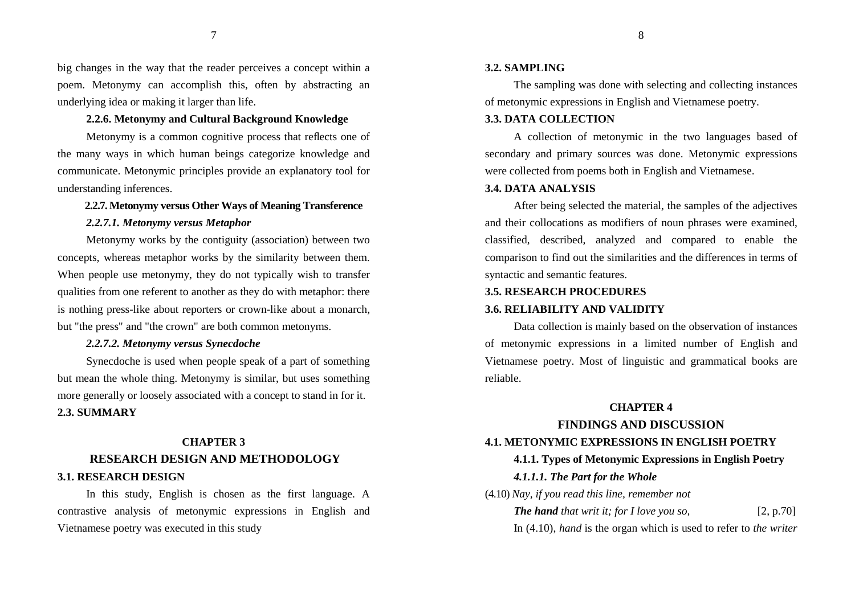big changes in the way that the reader perceives a concept within a poem. Metonymy can accomplish this, often by abstracting an underlying idea or making it larger than life.

# **2.2.6. Metonymy and Cultural Background Knowledge**

Metonymy is a common cognitive process that reflects one of the many ways in which human beings categorize knowledge and communicate. Metonymic principles provide an explanatory tool for understanding inferences.

#### **2.2.7. Metonymy versus Other Ways of Meaning Transference**

## *2.2.7.1. Metonymy versus Metaphor*

Metonymy works by the contiguity (association) between two concepts, whereas metaphor works by the similarity between them. When people use metonymy, they do not typically wish to transfer qualities from one referent to another as they do with metaphor: there is nothing press-like about reporters or crown-like about a monarch, but "the press" and "the crown" are both common metonyms.

# *2.2.7.2. Metonymy versus Synecdoche*

Synecdoche is used when people speak of a part of something but mean the whole thing. Metonymy is similar, but uses something more generally or loosely associated with a concept to stand in for it. **2.3. SUMMARY** 

# **CHAPTER 3 RESEARCH DESIGN AND METHODOLOGY3.1. RESEARCH DESIGN**

 In this study, English is chosen as the first language. A contrastive analysis of metonymic expressions in English and Vietnamese poetry was executed in this study

#### **3.2. SAMPLING**

The sampling was done with selecting and collecting instances of metonymic expressions in English and Vietnamese poetry.

# **3.3. DATA COLLECTION**

A collection of metonymic in the two languages based of secondary and primary sources was done. Metonymic expressions were collected from poems both in English and Vietnamese.

#### **3.4. DATA ANALYSIS**

After being selected the material, the samples of the adjectives and their collocations as modifiers of noun phrases were examined, classified, described, analyzed and compared to enable the comparison to find out the similarities and the differences in terms of syntactic and semantic features.

### **3.5. RESEARCH PROCEDURES**

#### **3.6. RELIABILITY AND VALIDITY**

 Data collection is mainly based on the observation of instances of metonymic expressions in a limited number of English and Vietnamese poetry. Most of linguistic and grammatical books are reliable.

# **CHAPTER 4**

# **FINDINGS AND DISCUSSION**

## **4.1. METONYMIC EXPRESSIONS IN ENGLISH POETRY**

#### **4.1.1. Types of Metonymic Expressions in English Poetry**

### *4.1.1.1. The Part for the Whole*

(4.10) *Nay, if you read this line, remember not*

*The hand that writ it; for I love you so,* [2, p.70]

In (4.10), *hand* is the organ which is used to refer to *the writer*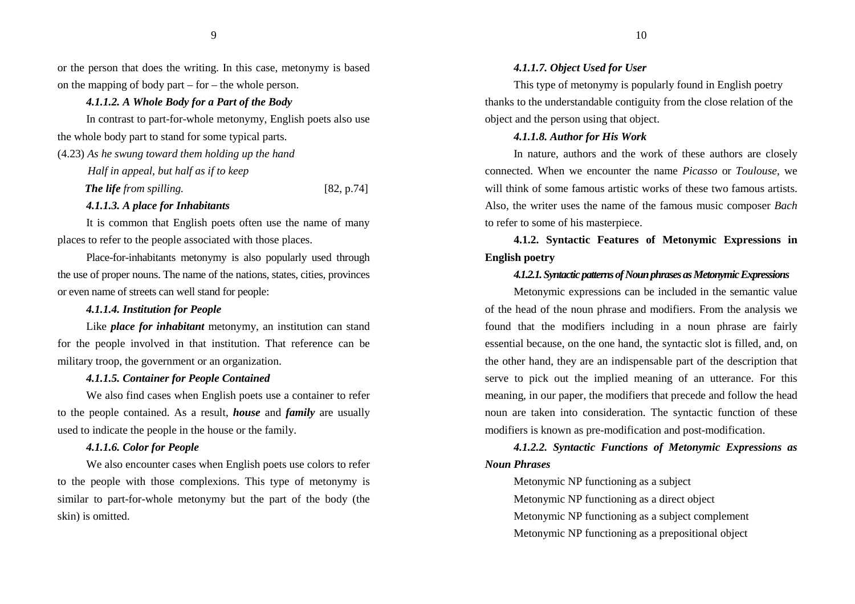or the person that does the writing. In this case, metonymy is based on the mapping of body part – for – the whole person.

# *4.1.1.2. A Whole Body for a Part of the Body*

In contrast to part-for-whole metonymy, English poets also use the whole body part to stand for some typical parts.

(4.23) *As he swung toward them holding up the hand* 

 *Half in appeal, but half as if to keep* 

*The life* from spilling. [82, p.74]

## *4.1.1.3. A place for Inhabitants*

It is common that English poets often use the name of many places to refer to the people associated with those places.

Place-for-inhabitants metonymy is also popularly used through the use of proper nouns. The name of the nations, states, cities, provinces or even name of streets can well stand for people:

#### *4.1.1.4. Institution for People*

Like *place for inhabitant* metonymy, an institution can stand for the people involved in that institution. That reference can be military troop, the government or an organization.

# *4.1.1.5. Container for People Contained*

We also find cases when English poets use a container to refer to the people contained. As a result, *house* and *family* are usually used to indicate the people in the house or the family.

## *4.1.1.6. Color for People*

We also encounter cases when English poets use colors to refer to the people with those complexions. This type of metonymy is similar to part-for-whole metonymy but the part of the body (the skin) is omitted.

#### *4.1.1.7. Object Used for User*

This type of metonymy is popularly found in English poetry thanks to the understandable contiguity from the close relation of the object and the person using that object.

## *4.1.1.8. Author for His Work*

In nature, authors and the work of these authors are closely connected. When we encounter the name *Picasso* or *Toulouse,* we will think of some famous artistic works of these two famous artists. Also, the writer uses the name of the famous music composer *Bach*to refer to some of his masterpiece.

**4.1.2. Syntactic Features of Metonymic Expressions in English poetry** 

## *4.1.2.1. Syntactic patterns of Noun phrases as Metonymic Expressions*

Metonymic expressions can be included in the semantic value of the head of the noun phrase and modifiers. From the analysis we found that the modifiers including in a noun phrase are fairly essential because, on the one hand, the syntactic slot is filled, and, on the other hand, they are an indispensable part of the description that serve to pick out the implied meaning of an utterance. For this meaning, in our paper, the modifiers that precede and follow the head noun are taken into consideration. The syntactic function of these modifiers is known as pre-modification and post-modification.

*4.1.2.2. Syntactic Functions of Metonymic Expressions as Noun Phrases* 

Metonymic NP functioning as a subject Metonymic NP functioning as a direct object Metonymic NP functioning as a subject complement Metonymic NP functioning as a prepositional object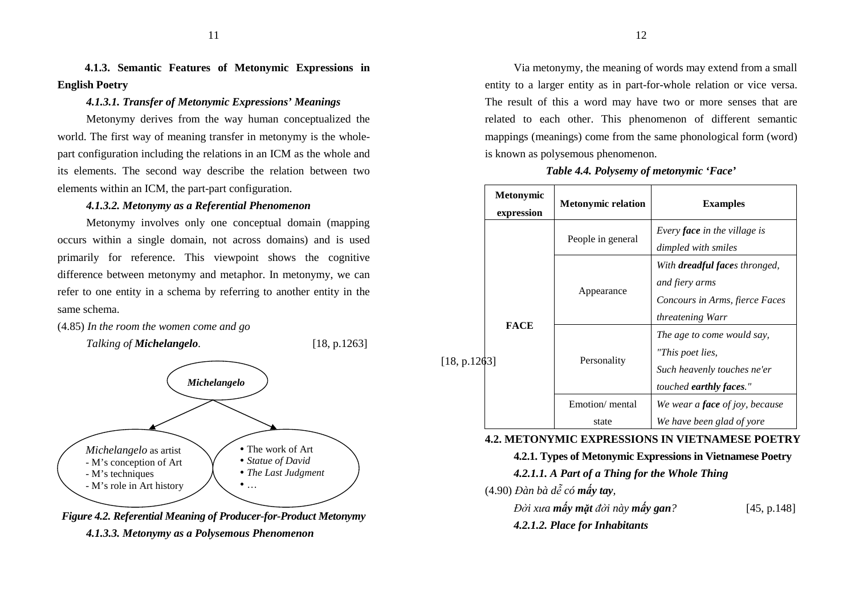**4.1.3. Semantic Features of Metonymic Expressions in English Poetry** 

# *4.1.3.1. Transfer of Metonymic Expressions' Meanings*

Metonymy derives from the way human conceptualized the world. The first way of meaning transfer in metonymy is the wholepart configuration including the relations in an ICM as the whole and its elements. The second way describe the relation between two elements within an ICM, the part-part configuration.

# *4.1.3.2. Metonymy as a Referential Phenomenon*

Metonymy involves only one conceptual domain (mapping occurs within a single domain, not across domains) and is used primarily for reference. This viewpoint shows the cognitive difference between metonymy and metaphor. In metonymy, we can refer to one entity in a schema by referring to another entity in the same schema.

(4.85) *In the room the women come and go*



*Figure 4.2. Referential Meaning of Producer-for-Product Metonymy 4.1.3.3. Metonymy as a Polysemous Phenomenon* 

Via metonymy, the meaning of words may extend from a small entity to a larger entity as in part-for-whole relation or vice versa. The result of this a word may have two or more senses that are related to each other. This phenomenon of different semantic mappings (meanings) come from the same phonological form (word) is known as polysemous phenomenon.

# *Table 4.4. Polysemy of metonymic 'Face'*

|         | <b>Metonymic</b><br>expression | <b>Metonymic relation</b> | <b>Examples</b>                                                                                                     |
|---------|--------------------------------|---------------------------|---------------------------------------------------------------------------------------------------------------------|
|         | <b>FACE</b>                    | People in general         | Every <b>face</b> in the village is<br>dimpled with smiles                                                          |
| p.1263] |                                | Appearance                | With <b>dreadful faces</b> thronged,<br>and fiery arms<br>Concours in Arms, fierce Faces<br><i>threatening Warr</i> |
|         |                                | Personality               | The age to come would say,<br>"This poet lies,<br>Such heavenly touches ne'er<br><i>touched earthly faces."</i>     |
|         |                                | Emotion/mental            | We wear a <b>face</b> of joy, because                                                                               |
|         |                                | state                     | We have been glad of yore                                                                                           |

#### **4.2. METONYMIC EXPRESSIONS IN VIETNAMESE POETRY**

# **4.2.1. Types of Metonymic Expressions in Vietnamese Poetry**

*4.2.1.1. A Part of a Thing for the Whole Thing* 

(4.90) *Đàn bà dễ có mấy tay,* 

 $[18]$ 

*Đời xưa mấy mặ<sup>t</sup> ñời này mấy gan?* [45, p.148]

*4.2.1.2. Place for Inhabitants*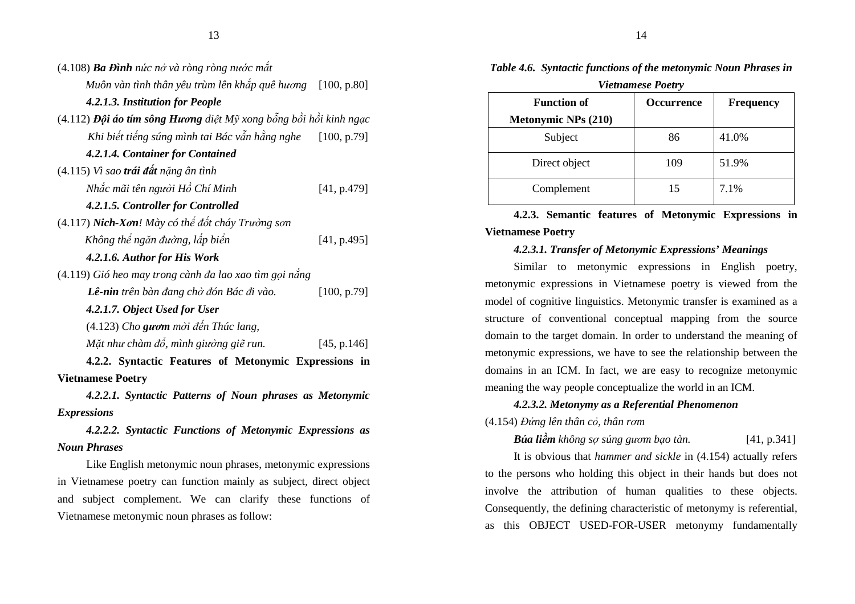| $(4.108)$ Ba Đình nức nở và ròng ròng nước mắt                    |  |  |  |  |  |  |  |
|-------------------------------------------------------------------|--|--|--|--|--|--|--|
| Muôn vàn tình thân yêu trùm lên khắp quê hương [100, p.80]        |  |  |  |  |  |  |  |
| 4.2.1.3. Institution for People                                   |  |  |  |  |  |  |  |
| (4.112) Đội áo tím sông Hương diệt Mỹ xong bỗng bồi hồi kinh ngạc |  |  |  |  |  |  |  |
| Khi biết tiếng súng mình tai Bác vẫn hằng nghe<br>[100, p.79]     |  |  |  |  |  |  |  |
| 4.2.1.4. Container for Contained                                  |  |  |  |  |  |  |  |
| $(4.115)$ Vì sao trái đất nặng ân tình                            |  |  |  |  |  |  |  |
| Nhắc mãi tên người Hồ Chí Minh<br>[41, p.479]                     |  |  |  |  |  |  |  |
| 4.2.1.5. Controller for Controlled                                |  |  |  |  |  |  |  |
| (4.117) Nich-Xơn! Mày có thể đốt cháy Trường sơn                  |  |  |  |  |  |  |  |
| Không thể ngăn đường, lấp biển<br>[41, p.495]                     |  |  |  |  |  |  |  |
| 4.2.1.6. Author for His Work                                      |  |  |  |  |  |  |  |
| (4.119) Gió heo may trong cành đa lao xao tìm gọi nắng            |  |  |  |  |  |  |  |
| Lê-nin trên bàn đang chờ đón Bác đi vào.<br>[100, p.79]           |  |  |  |  |  |  |  |
| 4.2.1.7. Object Used for User                                     |  |  |  |  |  |  |  |
| $(4.123)$ Cho guom mòi đến Thúc lang,                             |  |  |  |  |  |  |  |
| Mặt như chàm đổ, mình giường giẽ run.<br>[45, p.146]              |  |  |  |  |  |  |  |
| 4.2.2. Syntactic Features of Metonymic Expressions in             |  |  |  |  |  |  |  |
| <b>Vietnamese Poetry</b>                                          |  |  |  |  |  |  |  |
| 4.2.2.1. Syntactic Patterns of Noun phrases as Metonymic          |  |  |  |  |  |  |  |
|                                                                   |  |  |  |  |  |  |  |
| <b>Expressions</b>                                                |  |  |  |  |  |  |  |
| 4.2.2.2. Syntactic Functions of Metonymic Expressions as          |  |  |  |  |  |  |  |
| <b>Noun Phrases</b>                                               |  |  |  |  |  |  |  |

in Vietnamese poetry can function mainly as subject, direct object and subject complement. We can clarify these functions of Vietnamese metonymic noun phrases as follow:

| r lethumese 1 bett y       |                   |                  |  |  |  |  |  |
|----------------------------|-------------------|------------------|--|--|--|--|--|
| <b>Function of</b>         | <b>Occurrence</b> | <b>Frequency</b> |  |  |  |  |  |
| <b>Metonymic NPs (210)</b> |                   |                  |  |  |  |  |  |
| Subject                    | 86                | 41.0%            |  |  |  |  |  |
| Direct object              | 109               | 51.9%            |  |  |  |  |  |
| Complement                 | 15                | 7.1%             |  |  |  |  |  |

*Table 4.6. Syntactic functions of the metonymic Noun Phrases in Vietnamese Poetry* 

**4.2.3. Semantic features of Metonymic Expressions in Vietnamese Poetry** 

# *4.2.3.1. Transfer of Metonymic Expressions' Meanings*

Similar to metonymic expressions in English poetry,metonymic expressions in Vietnamese poetry is viewed from the model of cognitive linguistics. Metonymic transfer is examined as a structure of conventional conceptual mapping from the source domain to the target domain. In order to understand the meaning of metonymic expressions, we have to see the relationship between the domains in an ICM. In fact, we are easy to recognize metonymic meaning the way people conceptualize the world in an ICM.

#### *4.2.3.2. Metonymy as a Referential Phenomenon*

#### (4.154) *Đứng lên thân cỏ, thân rơm*

*Búa liềm không sợ súng gươm b* $[41, p.341]$ 

It is obvious that *hammer and sickle* in (4.154) actually refers to the persons who holding this object in their hands but does not involve the attribution of human qualities to these objects. Consequently, the defining characteristic of metonymy is referential, as this OBJECT USED-FOR-USER metonymy fundamentally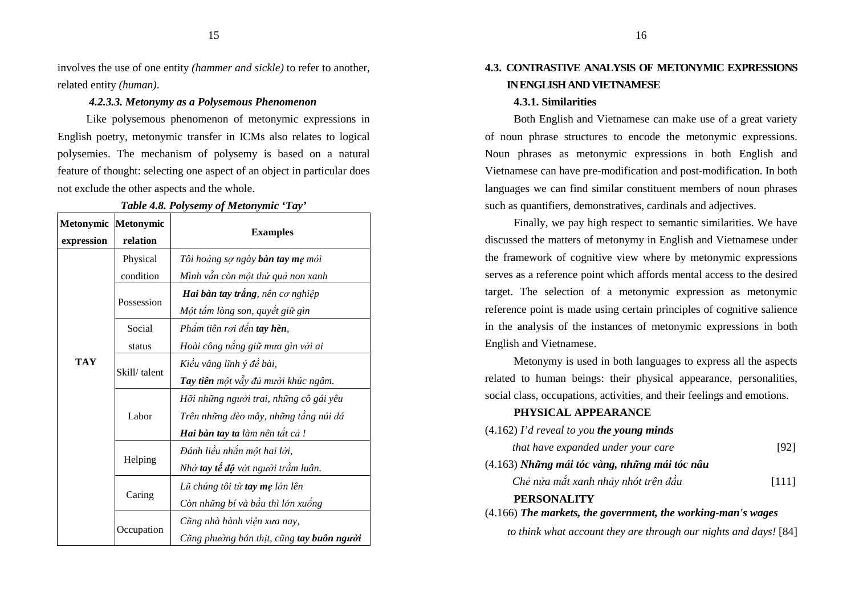involves the use of one entity *(hammer and sickle)* to refer to another, related entity *(human)*.

# *4.2.3.3. Metonymy as a Polysemous Phenomenon*

Like polysemous phenomenon of metonymic expressions in English poetry, metonymic transfer in ICMs also relates to logical polysemies. The mechanism of polysemy is based on a natural feature of thought: selecting one aspect of an object in particular does not exclude the other aspects and the whole.

| Metonymic Metonymic |              |                                           |  |  |
|---------------------|--------------|-------------------------------------------|--|--|
| expression          | relation     | <b>Examples</b>                           |  |  |
|                     | Physical     | Tôi hoảng sợ ngày <b>bàn tay mẹ</b> mỏi   |  |  |
|                     | condition    | Mình vẫn còn một thứ quả non xanh         |  |  |
|                     | Possession   | Hai bàn tay trắng, nên cơ nghiệp          |  |  |
|                     |              | Một tấm lòng son, quyết giữ gìn           |  |  |
|                     | Social       | Phẩm tiên rơi đến tay hèn,                |  |  |
|                     | status       | Hoài công nắng giữ mưa gìn với ai         |  |  |
| <b>TAY</b>          | Skill/talent | Kiều vâng lĩnh ý đề bài,                  |  |  |
|                     |              | Tay tiên một vẫy đủ mười khúc ngâm.       |  |  |
|                     |              | Hõi những người trai, những cô gái yêu    |  |  |
|                     | Labor        | Trên những đèo mây, những tầng núi đá     |  |  |
|                     |              | Hai bàn tay ta làm nên tất cả !           |  |  |
|                     |              | Đánh liều nhắn một hai lời,               |  |  |
|                     | Helping      | Nhờ tay tế độ vớt người trầm luân.        |  |  |
|                     |              | Lũ chúng tôi từ tay mẹ lớn lên            |  |  |
|                     | Caring       | Còn những bí và bầu thì lớn xuống         |  |  |
|                     |              | Cũng nhà hành viện xưa nay,               |  |  |
|                     | Occupation   | Cũng phường bán thịt, cũng tay buôn người |  |  |

*Table 4.8. Polysemy of Metonymic 'Tay'* 

# **4.3. CONTRASTIVE ANALYSIS OF METONYMIC EXPRESSIONS IN ENGLISH AND VIETNAMESE**

### **4.3.1. Similarities**

Both English and Vietnamese can make use of a great variety of noun phrase structures to encode the metonymic expressions. Noun phrases as metonymic expressions in both English and Vietnamese can have pre-modification and post-modification. In both languages we can find similar constituent members of noun phrases such as quantifiers, demonstratives, cardinals and adjectives.

Finally, we pay high respect to semantic similarities. We have discussed the matters of metonymy in English and Vietnamese under the framework of cognitive view where by metonymic expressions serves as a reference point which affords mental access to the desired target. The selection of a metonymic expression as metonymic reference point is made using certain principles of cognitive salience in the analysis of the instances of metonymic expressions in both English and Vietnamese.

Metonymy is used in both languages to express all the aspects related to human beings: their physical appearance, personalities, social class, occupations, activities, and their feelings and emotions.

# **PHYSICAL APPEARANCE**

| $(4.162)$ I'd reveal to you the young minds                    |       |  |  |  |  |
|----------------------------------------------------------------|-------|--|--|--|--|
| that have expanded under your care                             | [92]  |  |  |  |  |
| $(4.163)$ Những mái tóc vàng, những mái tóc nâu                |       |  |  |  |  |
| Chẻ nửa mắt xanh nhảy nhót trên đầu                            | [111] |  |  |  |  |
| <b>PERSONALITY</b>                                             |       |  |  |  |  |
| $(4.166)$ The markets, the government, the working-man's wages |       |  |  |  |  |

*to think what account they are through our nights and days!* [84]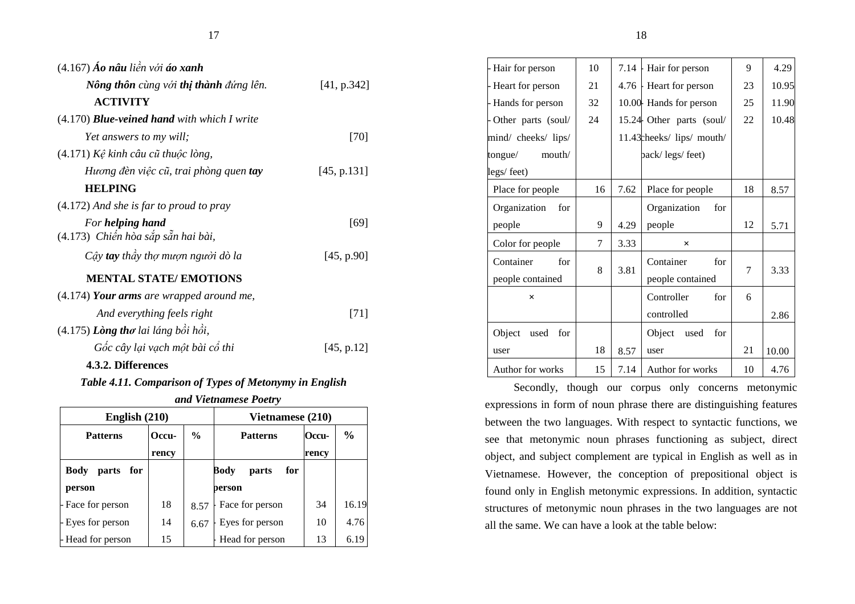| $(4.167)$ Áo nâu liền với áo xanh                      |             |
|--------------------------------------------------------|-------------|
| Nông thôn cùng với thị thành đứng lên.                 | [41, p.342] |
| <b>ACTIVITY</b>                                        |             |
| $(4.170)$ <b>Blue-veined hand</b> with which I write   |             |
| <i>Yet answers to my will;</i>                         | $[70]$      |
| (4.171) Kệ kinh câu cũ thuộc lòng,                     |             |
| Hương đèn việc cũ, trai phòng quen tay                 | [45, p.131] |
| <b>HELPING</b>                                         |             |
| $(4.172)$ And she is far to proud to pray              |             |
| For helping hand<br>(4.173) Chiến hòa sắp sẵn hai bài, | [69]        |
| Cây tay thầy thợ mượn người dò la                      | [45, p.90]  |
| <b>MENTAL STATE/ EMOTIONS</b>                          |             |
| $(4.174)$ Your arms are wrapped around me,             |             |
| And everything feels right                             | [71]        |
| $(4.175)$ Lòng thơ lai láng bồi hồi,                   |             |
| Gốc cây lại vạch một bài cổ thi                        | [45, p.12]  |

# **4.3.2. Differences**

# *Table 4.11. Comparison of Types of Metonymy in English*

*and Vietnamese Poetry* 

| English (210)        |       |               | Vietnamese (210)     |       |               |
|----------------------|-------|---------------|----------------------|-------|---------------|
| <b>Patterns</b>      | Occu- | $\frac{0}{0}$ | <b>Patterns</b>      | Occu- | $\frac{6}{9}$ |
|                      | rency |               |                      | rency |               |
| Body<br>parts<br>for |       |               | Body<br>for<br>parts |       |               |
| person               |       |               | person               |       |               |
| - Face for person    | 18    | 8.57          | Face for person      | 34    | 16.19         |
| - Eyes for person    | 14    | 6.67          | Eyes for person      | 10    | 4.76          |
| - Head for person    | 15    |               | Head for person      | 13    | 6.19          |

| - Hair for person     | 10 |      | 7.14 Hair for person       | 9  | 4.29  |
|-----------------------|----|------|----------------------------|----|-------|
| - Heart for person    | 21 | 4.76 | - Heart for person         | 23 | 10.95 |
| - Hands for person    | 32 |      | 10.00 Hands for person     | 25 | 11.90 |
| - Other parts (soul/  | 24 |      | 15.24 Other parts (soul/   | 22 | 10.48 |
| mind/ cheeks/ lips/   |    |      | 11.43 cheeks/ lips/ mouth/ |    |       |
| mouth/<br>tongue/     |    |      | back/legs/feet)            |    |       |
| legs/feet)            |    |      |                            |    |       |
| Place for people      | 16 | 7.62 | Place for people           | 18 | 8.57  |
| Organization<br>for   |    |      | Organization<br>for        |    |       |
| people                | 9  | 4.29 | people                     | 12 | 5.71  |
| Color for people      | 7  | 3.33 | ×                          |    |       |
| Container<br>for      | 8  |      | Container<br>for           | 7  |       |
| people contained      |    | 3.81 | people contained           |    | 3.33  |
| $\times$              |    |      | Controller<br>for          | 6  |       |
|                       |    |      | controlled                 |    | 2.86  |
| Object<br>used<br>for |    |      | Object<br>used<br>for      |    |       |
| user                  | 18 | 8.57 | user                       | 21 | 10.00 |
| Author for works      | 15 | 7.14 | Author for works           | 10 | 4.76  |

Secondly, though our corpus only concerns metonymicexpressions in form of noun phrase there are distinguishing features between the two languages. With respect to syntactic functions, we see that metonymic noun phrases functioning as subject, direct object, and subject complement are typical in English as well as in Vietnamese. However, the conception of prepositional object is found only in English metonymic expressions. In addition, syntactic structures of metonymic noun phrases in the two languages are not all the same. We can have a look at the table below:

┯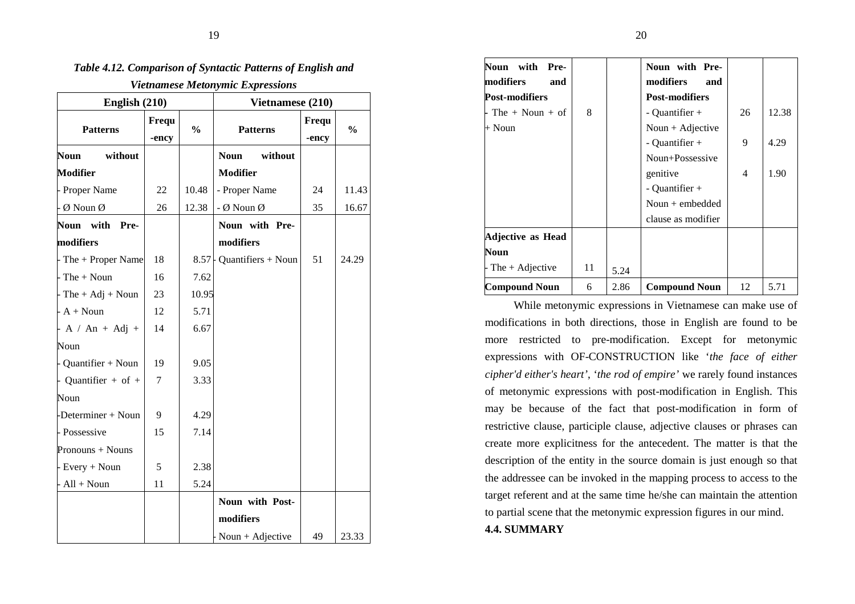| r icinamese metonymic Expressions<br>English $(210)$ |                |               | Vietnamese (210)       |                |               |  |
|------------------------------------------------------|----------------|---------------|------------------------|----------------|---------------|--|
| <b>Patterns</b>                                      | Frequ<br>-ency | $\frac{0}{0}$ | <b>Patterns</b>        | Frequ<br>-ency | $\frac{0}{0}$ |  |
| <b>Noun</b><br>without                               |                |               | <b>Noun</b><br>without |                |               |  |
| <b>Modifier</b>                                      |                |               | <b>Modifier</b>        |                |               |  |
| - Proper Name                                        | 22             | 10.48         | - Proper Name          | 24             | 11.43         |  |
| $-$ Ø Noun Ø                                         | 26             | 12.38         | - Ø Noun Ø             | 35             | 16.67         |  |
| with<br><b>Noun</b><br>Pre-                          |                |               | Noun with Pre-         |                |               |  |
| modifiers                                            |                |               | modifiers              |                |               |  |
| - The + Proper Name                                  | 18             | 8.57          | Quantifiers + Noun     | 51             | 24.29         |  |
| $-$ The $+$ Noun                                     | 16             | 7.62          |                        |                |               |  |
| $-$ The $+$ Adj $+$ Noun                             | 23             | 10.95         |                        |                |               |  |
| $- A + Noun$                                         | 12             | 5.71          |                        |                |               |  |
| $-A / An + Adj +$                                    | 14             | 6.67          |                        |                |               |  |
| Noun                                                 |                |               |                        |                |               |  |
| - Quantifier + Noun                                  | 19             | 9.05          |                        |                |               |  |
| Quantifier + of +                                    | 7              | 3.33          |                        |                |               |  |
| Noun                                                 |                |               |                        |                |               |  |
| -Determiner + Noun                                   | 9              | 4.29          |                        |                |               |  |
| - Possessive                                         | 15             | 7.14          |                        |                |               |  |
| Pronouns + Nouns                                     |                |               |                        |                |               |  |
| - Every $+$ Noun                                     | 5              | 2.38          |                        |                |               |  |
| $- All + Noun$                                       | 11             | 5.24          |                        |                |               |  |
|                                                      |                |               | Noun with Post-        |                |               |  |
|                                                      |                |               | modifiers              |                |               |  |
|                                                      |                |               | Noun + Adjective       | 49             | 23.33         |  |

# *Table 4.12. Comparison of Syntactic Patterns of English and*

*Vietnamese Metonymic Expressions* 

| with<br>Pre-<br>Noun         |    |      | Noun with Pre-        |    |       |
|------------------------------|----|------|-----------------------|----|-------|
| modifiers<br>and             |    |      | modifiers<br>and      |    |       |
| <b>Post-modifiers</b>        |    |      | <b>Post-modifiers</b> |    |       |
| $\textsf{F}$ The + Noun + of | 8  |      | $-$ Quantifier $+$    | 26 | 12.38 |
| + Noun                       |    |      | Noun + Adjective      |    |       |
|                              |    |      | - Quantifier +        | 9  | 4.29  |
|                              |    |      | Noun+Possessive       |    |       |
|                              |    |      | genitive              | 4  | 1.90  |
|                              |    |      | - Quantifier +        |    |       |
|                              |    |      | Noun $+$ embedded     |    |       |
|                              |    |      | clause as modifier    |    |       |
| Adjective as Head            |    |      |                       |    |       |
| Noun                         |    |      |                       |    |       |
| The $+$ Adjective            | 11 | 5.24 |                       |    |       |
| <b>Compound Noun</b>         | 6  | 2.86 | <b>Compound Noun</b>  | 12 | 5.71  |

While metonymic expressions in Vietnamese can make use of modifications in both directions, those in English are found to be more restricted to pre-modification. Except for metonymic expressions with OF-CONSTRUCTION like '*the face of either cipher'd either's heart'*, '*the rod of empire'* we rarely found instances of metonymic expressions with post-modification in English. This may be because of the fact that post-modification in form of restrictive clause, participle clause, adjective clauses or phrases can create more explicitness for the antecedent. The matter is that the description of the entity in the source domain is just enough so that the addressee can be invoked in the mapping process to access to the target referent and at the same time he/she can maintain the attention to partial scene that the metonymic expression figures in our mind. **4.4. SUMMARY**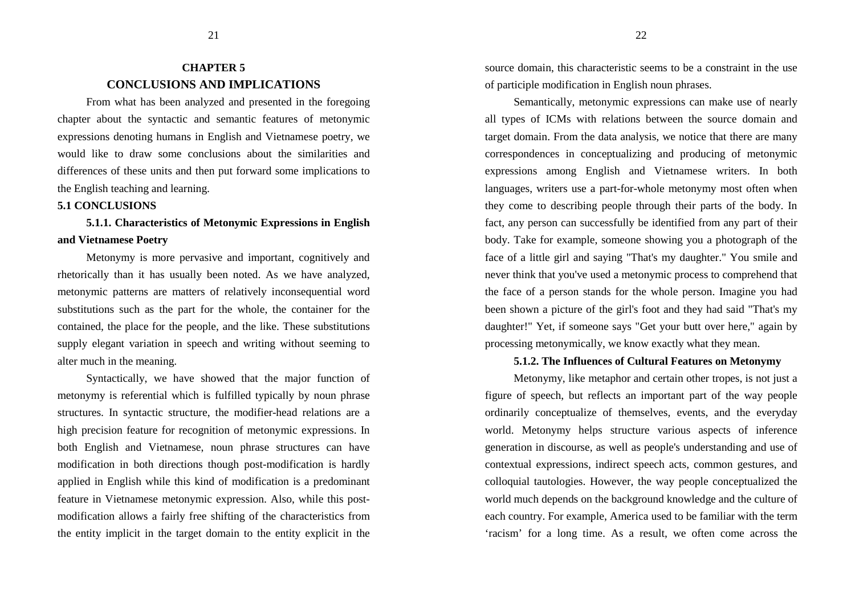# **CHAPTER 5 CONCLUSIONS AND IMPLICATIONS**

From what has been analyzed and presented in the foregoing chapter about the syntactic and semantic features of metonymic expressions denoting humans in English and Vietnamese poetry, we would like to draw some conclusions about the similarities and differences of these units and then put forward some implications to the English teaching and learning.

# **5.1 CONCLUSIONS**

# **5.1.1. Characteristics of Metonymic Expressions in English and Vietnamese Poetry**

Metonymy is more pervasive and important, cognitively and rhetorically than it has usually been noted. As we have analyzed, metonymic patterns are matters of relatively inconsequential word substitutions such as the part for the whole, the container for the contained, the place for the people, and the like. These substitutions supply elegant variation in speech and writing without seeming to alter much in the meaning.

Syntactically, we have showed that the major function of metonymy is referential which is fulfilled typically by noun phrase structures. In syntactic structure, the modifier-head relations are a high precision feature for recognition of metonymic expressions. In both English and Vietnamese, noun phrase structures can have modification in both directions though post-modification is hardly applied in English while this kind of modification is a predominant feature in Vietnamese metonymic expression. Also, while this postmodification allows a fairly free shifting of the characteristics from the entity implicit in the target domain to the entity explicit in the

source domain, this characteristic seems to be a constraint in the use of participle modification in English noun phrases.

Semantically, metonymic expressions can make use of nearly all types of ICMs with relations between the source domain and target domain. From the data analysis, we notice that there are many correspondences in conceptualizing and producing of metonymic expressions among English and Vietnamese writers. In both languages, writers use a part-for-whole metonymy most often when they come to describing people through their parts of the body. In fact, any person can successfully be identified from any part of their body. Take for example, someone showing you a photograph of the face of a little girl and saying "That's my daughter." You smile and never think that you've used a metonymic process to comprehend that the face of a person stands for the whole person. Imagine you had been shown a picture of the girl's foot and they had said "That's my daughter!" Yet, if someone says "Get your butt over here," again by processing metonymically, we know exactly what they mean.

## **5.1.2. The Influences of Cultural Features on Metonymy**

Metonymy, like metaphor and certain other tropes, is not just a figure of speech, but reflects an important part of the way people ordinarily conceptualize of themselves, events, and the everyday world. Metonymy helps structure various aspects of inference generation in discourse, as well as people's understanding and use of contextual expressions, indirect speech acts, common gestures, and colloquial tautologies. However, the way people conceptualized the world much depends on the background knowledge and the culture of each country. For example, America used to be familiar with the term 'racism' for a long time. As a result, we often come across the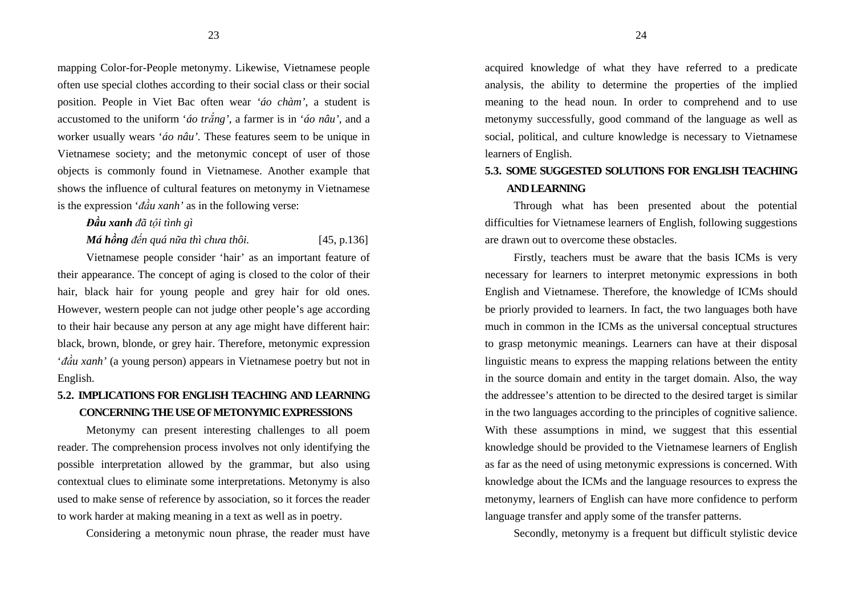mapping Color-for-People metonymy. Likewise, Vietnamese people often use special clothes according to their social class or their social position. People in Viet Bac often wear *'áo chàm'*, a student is accustomed to the uniform '*áo trắng'*, a farmer is in '*áo nâu'*, and a worker usually wears '*áo nâu'.* These features seem to be unique in Vietnamese society; and the metonymic concept of user of those objects is commonly found in Vietnamese. Another example that shows the influence of cultural features on metonymy in Vietnamese is the expression '*ñầu xanh'* as in the following verse:

*Đầu xanh <sup>ñ</sup>ã tội tình gì* 

*Má hồng ñến quá nữa thì chưa thôi.* [45, p.136]

Vietnamese people consider 'hair' as an important feature of their appearance. The concept of aging is closed to the color of their hair, black hair for young people and grey hair for old ones. However, western people can not judge other people's age according to their hair because any person at any age might have different hair: black, brown, blonde, or grey hair. Therefore, metonymic expression '*ñầu xanh'* (a young person) appears in Vietnamese poetry but not in English.

# **5.2. IMPLICATIONS FOR ENGLISH TEACHING AND LEARNINGCONCERNING THE USE OF METONYMIC EXPRESSIONS**

Metonymy can present interesting challenges to all poem reader. The comprehension process involves not only identifying the possible interpretation allowed by the grammar, but also using contextual clues to eliminate some interpretations. Metonymy is also used to make sense of reference by association, so it forces the reader to work harder at making meaning in a text as well as in poetry.

Considering a metonymic noun phrase, the reader must have

acquired knowledge of what they have referred to a predicate analysis, the ability to determine the properties of the implied meaning to the head noun. In order to comprehend and to use metonymy successfully, good command of the language as well as social, political, and culture knowledge is necessary to Vietnamese learners of English.

# **5.3. SOME SUGGESTED SOLUTIONS FOR ENGLISH TEACHING AND LEARNING**

Through what has been presented about the potentialdifficulties for Vietnamese learners of English, following suggestions are drawn out to overcome these obstacles.

Firstly, teachers must be aware that the basis ICMs is very necessary for learners to interpret metonymic expressions in both English and Vietnamese. Therefore, the knowledge of ICMs should be priorly provided to learners. In fact, the two languages both have much in common in the ICMs as the universal conceptual structures to grasp metonymic meanings. Learners can have at their disposal linguistic means to express the mapping relations between the entity in the source domain and entity in the target domain. Also, the way the addressee's attention to be directed to the desired target is similar in the two languages according to the principles of cognitive salience. With these assumptions in mind, we suggest that this essential knowledge should be provided to the Vietnamese learners of English as far as the need of using metonymic expressions is concerned. With knowledge about the ICMs and the language resources to express the metonymy, learners of English can have more confidence to perform language transfer and apply some of the transfer patterns.

Secondly, metonymy is a frequent but difficult stylistic device